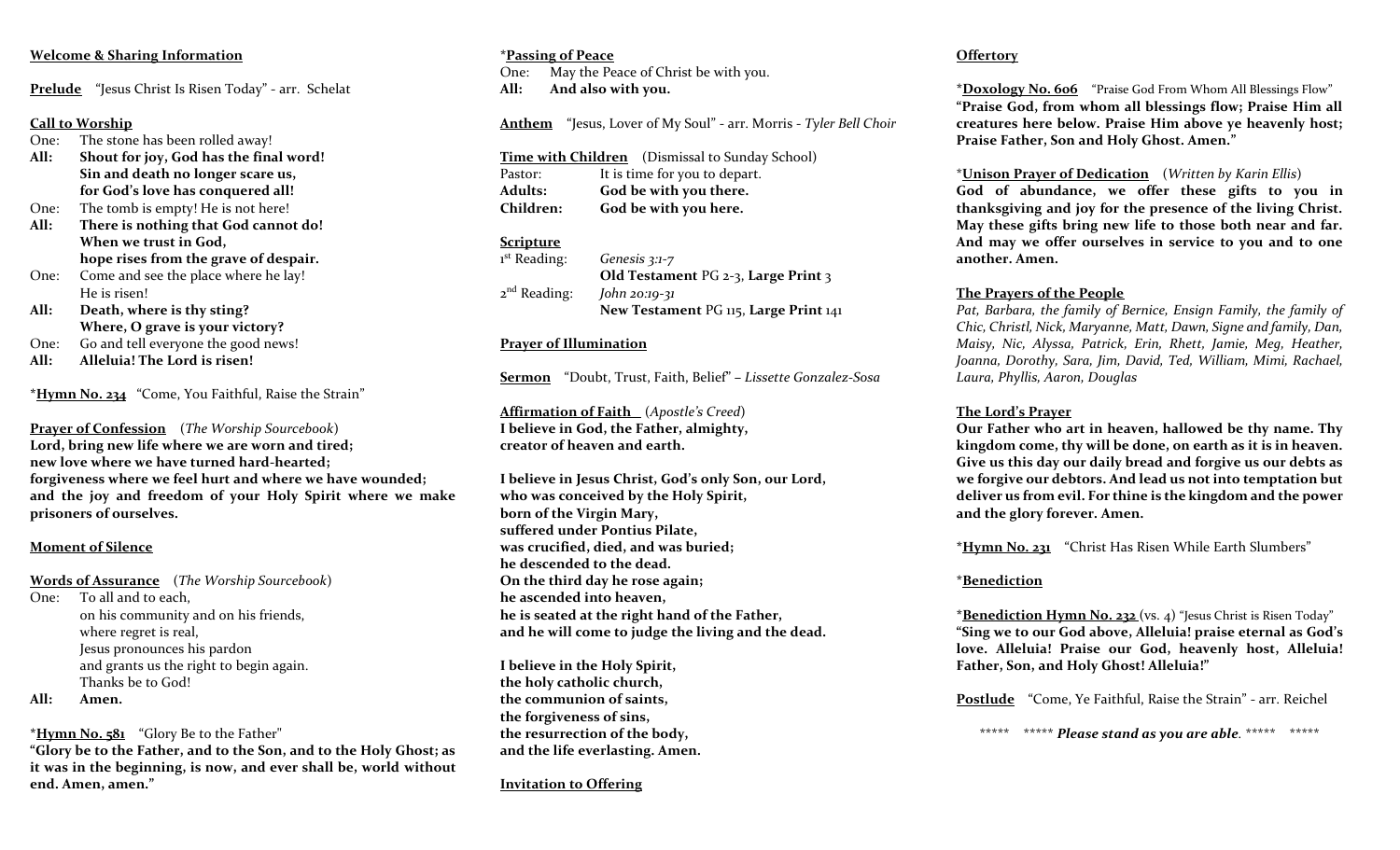# **Welcome & Sharing Information**

**Prelude** "Jesus Christ Is Risen Today" - arr. Schelat

# **Call to Worship**

- One: The stone has been rolled away! **All: Shout for joy, God has the final word! Sin and death no longer scare us, for God's love has conquered all!**
- One: The tomb is empty! He is not here! **All: There is nothing that God cannot do! When we trust in God, hope rises from the grave of despair.**
- One: Come and see the place where he lay! He is risen!
- **All: Death, where is thy sting? Where, O grave is your victory?**
- One: Go and tell everyone the good news!
- **All: Alleluia! The Lord is risen!**

**\*Hymn No. 234** "Come, You Faithful, Raise the Strain"

**Prayer of Confession** (*The Worship Sourcebook*) **Lord, bring new life where we are worn and tired; new love where we have turned hard-hearted; forgiveness where we feel hurt and where we have wounded; and the joy and freedom of your Holy Spirit where we make prisoners of ourselves.**

## **Moment of Silence**

**Words of Assurance** (*The Worship Sourcebook*) One: To all and to each, on his community and on his friends, where regret is real, Jesus pronounces his pardon and grants us the right to begin again. Thanks be to God!

**All: Amen.**

**\*Hymn No. 581** "Glory Be to the Father"

**"Glory be to the Father, and to the Son, and to the Holy Ghost; as it was in the beginning, is now, and ever shall be, world without end. Amen, amen."**

## **\*Passing of Peace**

One: May the Peace of Christ be with you. **All: And also with you.** 

**Anthem** "Jesus, Lover of My Soul" - arr. Morris - *Tyler Bell Choir*

**Time with Children** (Dismissal to Sunday School) Pastor: It is time for you to depart. **Adults: God be with you there. Children: God be with you here.**

## **Scripture**

| Genesis $3:1-7$                       |
|---------------------------------------|
| Old Testament PG 2-3, Large Print 3   |
| $John 20:19-31$                       |
| New Testament PG 115, Large Print 141 |
|                                       |

## **Prayer of Illumination**

**Sermon** "Doubt, Trust, Faith, Belief" **–** *Lissette Gonzalez-Sosa*

**Affirmation of Faith** (*Apostle's Creed*) **I believe in God, the Father, almighty, creator of heaven and earth.** 

**I believe in Jesus Christ, God's only Son, our Lord, who was conceived by the Holy Spirit, born of the Virgin Mary, suffered under Pontius Pilate, was crucified, died, and was buried; he descended to the dead. On the third day he rose again; he ascended into heaven, he is seated at the right hand of the Father, and he will come to judge the living and the dead.** 

**I believe in the Holy Spirit, the holy catholic church, the communion of saints, the forgiveness of sins, the resurrection of the body, and the life everlasting. Amen.** 

**Invitation to Offering**

# **Offertory**

**\*Doxology No. 606** "Praise God From Whom All Blessings Flow" **"Praise God, from whom all blessings flow; Praise Him all creatures here below. Praise Him above ye heavenly host; Praise Father, Son and Holy Ghost. Amen."**

### \***Unison Prayer of Dedication** (*Written by Karin Ellis*)

**God of abundance, we offer these gifts to you in thanksgiving and joy for the presence of the living Christ. May these gifts bring new life to those both near and far. And may we offer ourselves in service to you and to one another. Amen.** 

## **The Prayers of the People**

*Pat, Barbara, the family of Bernice, Ensign Family, the family of Chic, Christl, Nick, Maryanne, Matt, Dawn, Signe and family, Dan, Maisy, Nic, Alyssa, Patrick, Erin, Rhett, Jamie, Meg, Heather, Joanna, Dorothy, Sara, Jim, David, Ted, William, Mimi, Rachael, Laura, Phyllis, Aaron, Douglas* 

## **The Lord's Prayer**

**Our Father who art in heaven, hallowed be thy name. Thy kingdom come, thy will be done, on earth as it is in heaven. Give us this day our daily bread and forgive us our debts as we forgive our debtors. And lead us not into temptation but deliver us from evil. For thine is the kingdom and the power and the glory forever. Amen.**

**\*Hymn No. 231** "Christ Has Risen While Earth Slumbers"

## **\*Benediction**

**\*Benediction Hymn No. 232** (vs. 4) "Jesus Christ is Risen Today" **"Sing we to our God above, Alleluia! praise eternal as God's love. Alleluia! Praise our God, heavenly host, Alleluia! Father, Son, and Holy Ghost! Alleluia!"** 

**Postlude** "Come, Ye Faithful, Raise the Strain" - arr. Reichel

\*\*\*\*\* \*\*\*\*\* *Please stand as you are able.* \*\*\*\*\* \*\*\*\*\*